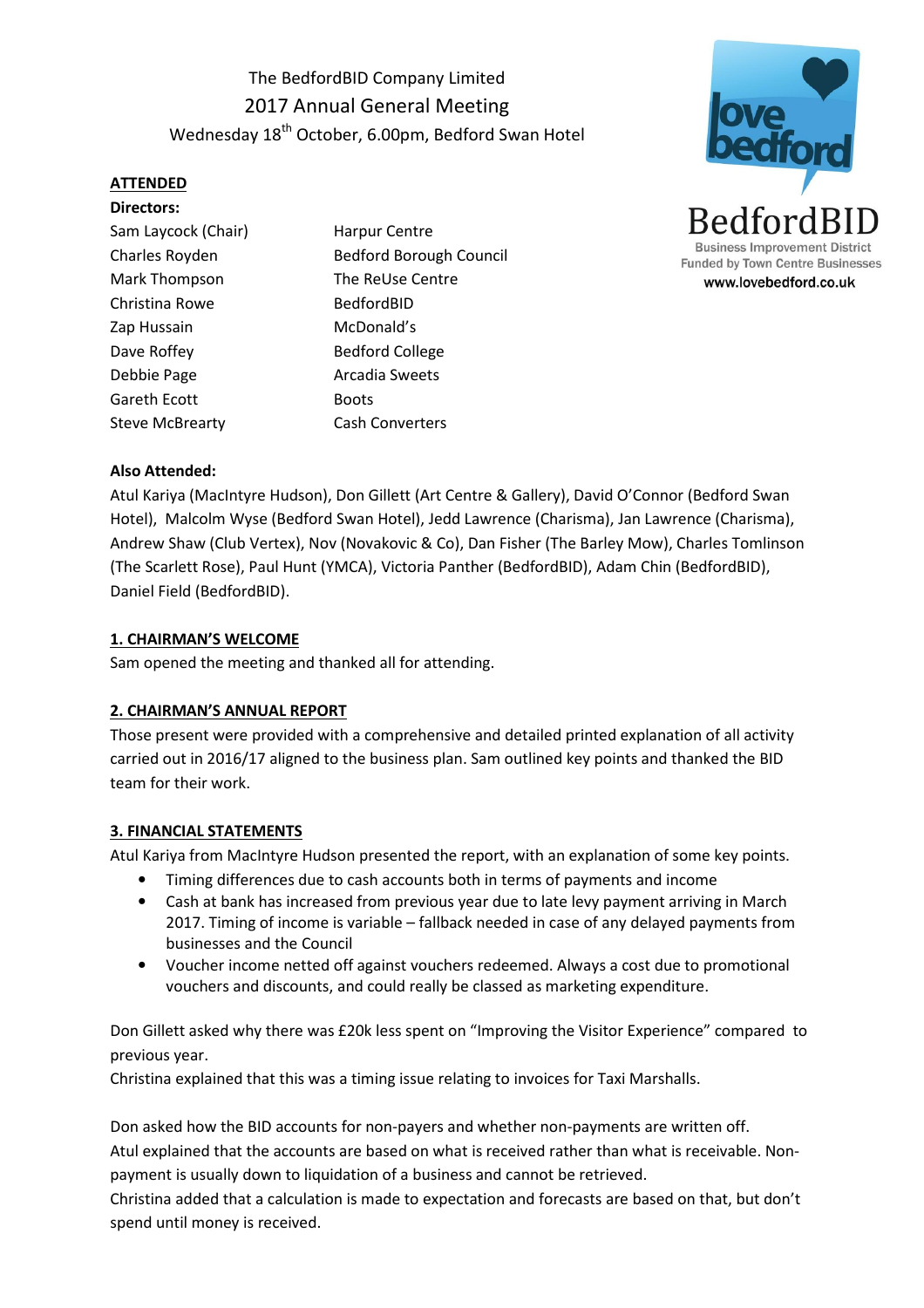The BedfordBID Company Limited 2017 Annual General Meeting Wednesday 18<sup>th</sup> October, 6.00pm, Bedford Swan Hotel

# ATTENDED

Directors: Sam Laycock (Chair) Harpur Centre Mark Thompson The ReUse Centre Christina Rowe BedfordBID Zap Hussain McDonald's Dave Roffey **Bedford College** Debbie Page **Arcadia** Sweets Gareth Ecott Boots Steve McBrearty **Cash Converters** 

Charles Royden Bedford Borough Council



## Also Attended:

Atul Kariya (MacIntyre Hudson), Don Gillett (Art Centre & Gallery), David O'Connor (Bedford Swan Hotel), Malcolm Wyse (Bedford Swan Hotel), Jedd Lawrence (Charisma), Jan Lawrence (Charisma), Andrew Shaw (Club Vertex), Nov (Novakovic & Co), Dan Fisher (The Barley Mow), Charles Tomlinson (The Scarlett Rose), Paul Hunt (YMCA), Victoria Panther (BedfordBID), Adam Chin (BedfordBID), Daniel Field (BedfordBID).

### 1. CHAIRMAN'S WELCOME

Sam opened the meeting and thanked all for attending.

## 2. CHAIRMAN'S ANNUAL REPORT

Those present were provided with a comprehensive and detailed printed explanation of all activity carried out in 2016/17 aligned to the business plan. Sam outlined key points and thanked the BID team for their work.

## 3. FINANCIAL STATEMENTS

Atul Kariya from MacIntyre Hudson presented the report, with an explanation of some key points.

- Timing differences due to cash accounts both in terms of payments and income
- Cash at bank has increased from previous year due to late levy payment arriving in March 2017. Timing of income is variable – fallback needed in case of any delayed payments from businesses and the Council
- Voucher income netted off against vouchers redeemed. Always a cost due to promotional vouchers and discounts, and could really be classed as marketing expenditure.

Don Gillett asked why there was £20k less spent on "Improving the Visitor Experience" compared to previous year.

Christina explained that this was a timing issue relating to invoices for Taxi Marshalls.

Don asked how the BID accounts for non-payers and whether non-payments are written off. Atul explained that the accounts are based on what is received rather than what is receivable. Nonpayment is usually down to liquidation of a business and cannot be retrieved.

Christina added that a calculation is made to expectation and forecasts are based on that, but don't spend until money is received.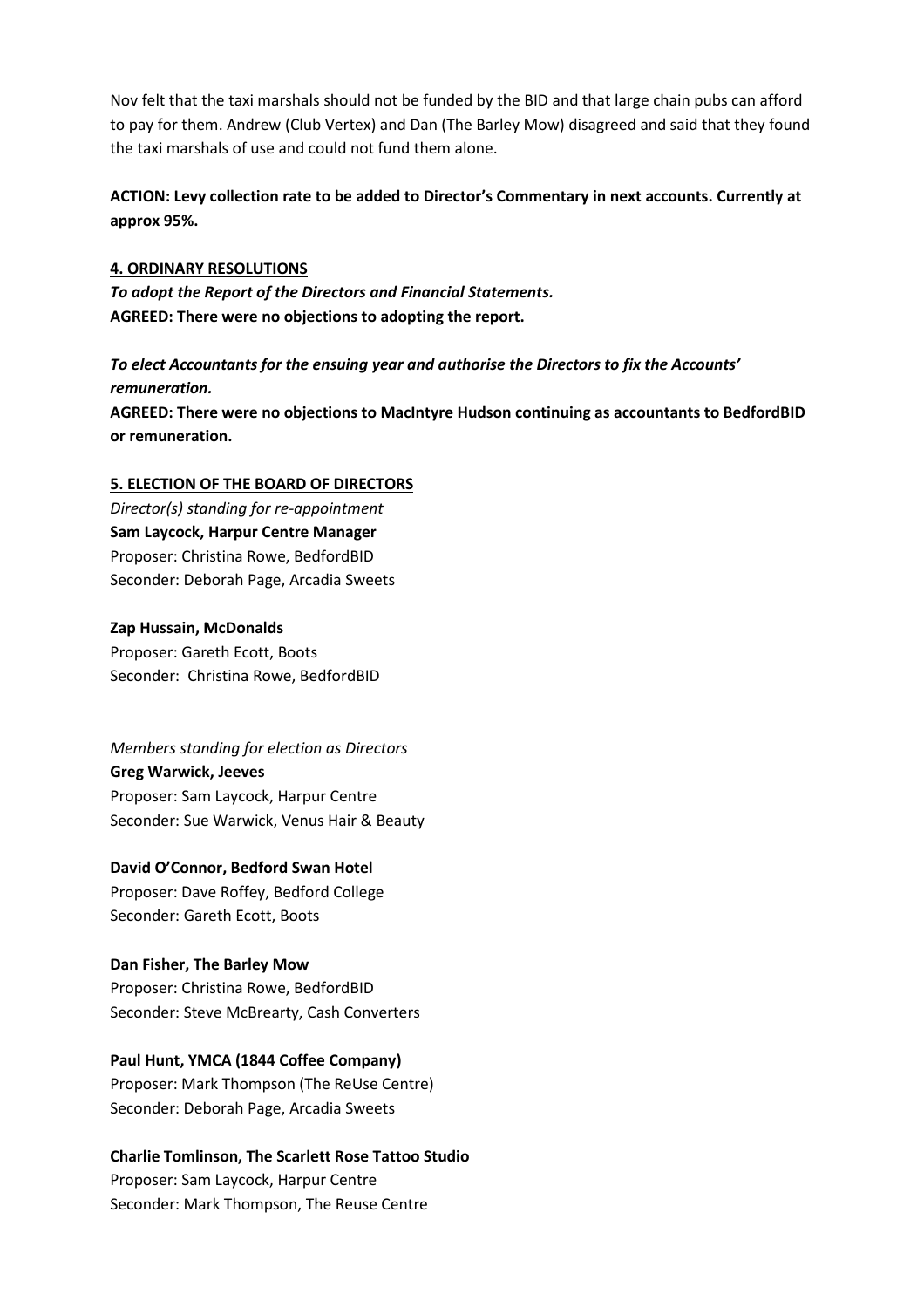Nov felt that the taxi marshals should not be funded by the BID and that large chain pubs can afford to pay for them. Andrew (Club Vertex) and Dan (The Barley Mow) disagreed and said that they found the taxi marshals of use and could not fund them alone.

ACTION: Levy collection rate to be added to Director's Commentary in next accounts. Currently at approx 95%.

### 4. ORDINARY RESOLUTIONS

To adopt the Report of the Directors and Financial Statements. AGREED: There were no objections to adopting the report.

To elect Accountants for the ensuing year and authorise the Directors to fix the Accounts' remuneration. AGREED: There were no objections to MacIntyre Hudson continuing as accountants to BedfordBID or remuneration.

### 5. ELECTION OF THE BOARD OF DIRECTORS

Director(s) standing for re-appointment Sam Laycock, Harpur Centre Manager Proposer: Christina Rowe, BedfordBID Seconder: Deborah Page, Arcadia Sweets

#### Zap Hussain, McDonalds

Proposer: Gareth Ecott, Boots Seconder: Christina Rowe, BedfordBID

Members standing for election as Directors Greg Warwick, Jeeves Proposer: Sam Laycock, Harpur Centre

Seconder: Sue Warwick, Venus Hair & Beauty

#### David O'Connor, Bedford Swan Hotel

Proposer: Dave Roffey, Bedford College Seconder: Gareth Ecott, Boots

Dan Fisher, The Barley Mow Proposer: Christina Rowe, BedfordBID Seconder: Steve McBrearty, Cash Converters

### Paul Hunt, YMCA (1844 Coffee Company)

Proposer: Mark Thompson (The ReUse Centre) Seconder: Deborah Page, Arcadia Sweets

### Charlie Tomlinson, The Scarlett Rose Tattoo Studio

Proposer: Sam Laycock, Harpur Centre Seconder: Mark Thompson, The Reuse Centre